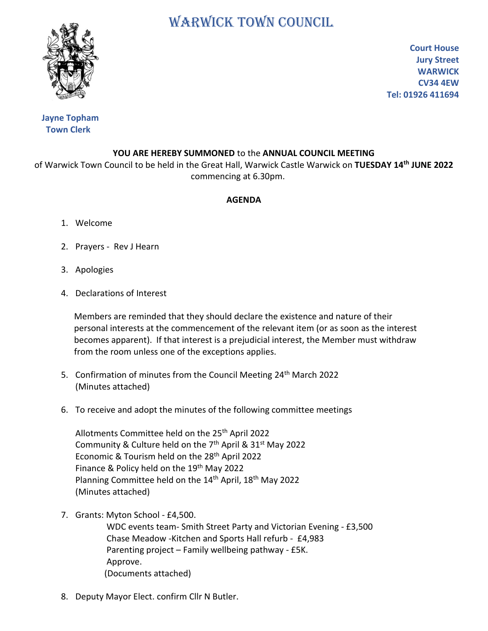## WARWICK TOWN COUNCIL



**Court House Jury Street WARWICK CV34 4EW Tel: 01926 411694**

## **Jayne Topham Town Clerk**

## **YOU ARE HEREBY SUMMONED** to the **ANNUAL COUNCIL MEETING**

of Warwick Town Council to be held in the Great Hall, Warwick Castle Warwick on **TUESDAY 14th JUNE 2022** commencing at 6.30pm.

## **AGENDA**

- 1. Welcome
- 2. Prayers Rev J Hearn
- 3. Apologies
- 4. Declarations of Interest

 Members are reminded that they should declare the existence and nature of their personal interests at the commencement of the relevant item (or as soon as the interest becomes apparent). If that interest is a prejudicial interest, the Member must withdraw from the room unless one of the exceptions applies.

- 5. Confirmation of minutes from the Council Meeting 24<sup>th</sup> March 2022 (Minutes attached)
- 6. To receive and adopt the minutes of the following committee meetings

Allotments Committee held on the 25<sup>th</sup> April 2022 Community & Culture held on the 7<sup>th</sup> April & 31<sup>st</sup> May 2022 Economic & Tourism held on the 28<sup>th</sup> April 2022 Finance & Policy held on the 19<sup>th</sup> May 2022 Planning Committee held on the 14<sup>th</sup> April, 18<sup>th</sup> May 2022 (Minutes attached)

7. Grants: Myton School - £4,500.

 WDC events team- Smith Street Party and Victorian Evening - £3,500 Chase Meadow -Kitchen and Sports Hall refurb - £4,983 Parenting project – Family wellbeing pathway - £5K. Approve. (Documents attached)

8. Deputy Mayor Elect. confirm Cllr N Butler.